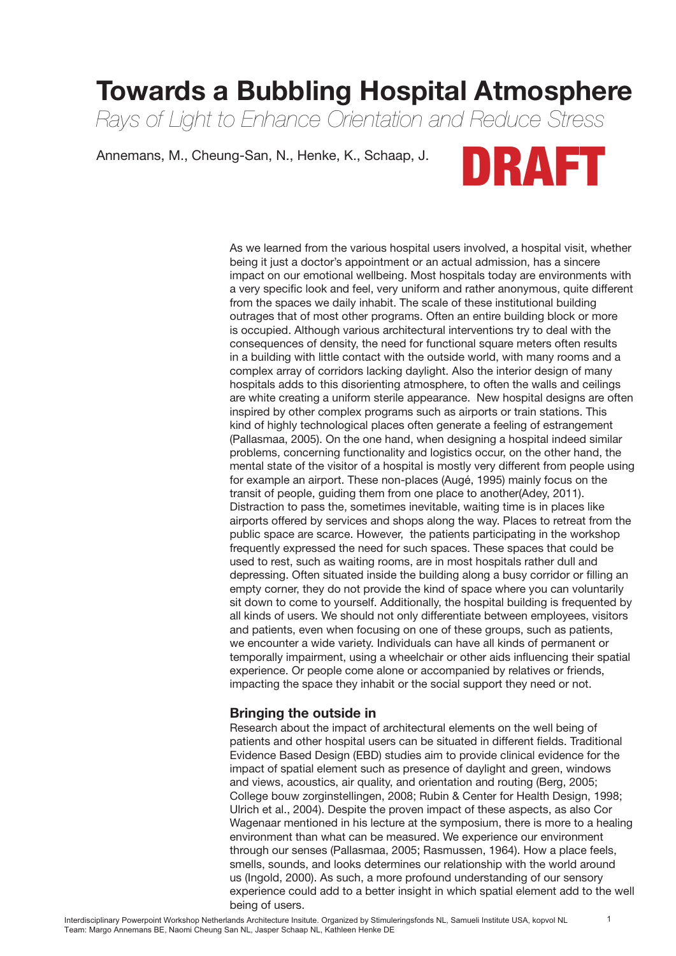# **Towards a Bubbling Hospital Atmosphere**

*Rays of Light to Enhance Orientation and Reduce Stress*

Annemans, M., Cheung-San, N., Henke, K., Schaap, J.



As we learned from the various hospital users involved, a hospital visit, whether being it just a doctor's appointment or an actual admission, has a sincere impact on our emotional wellbeing. Most hospitals today are environments with a very specific look and feel, very uniform and rather anonymous, quite different from the spaces we daily inhabit. The scale of these institutional building outrages that of most other programs. Often an entire building block or more is occupied. Although various architectural interventions try to deal with the consequences of density, the need for functional square meters often results in a building with little contact with the outside world, with many rooms and a complex array of corridors lacking daylight. Also the interior design of many hospitals adds to this disorienting atmosphere, to often the walls and ceilings are white creating a uniform sterile appearance. New hospital designs are often inspired by other complex programs such as airports or train stations. This kind of highly technological places often generate a feeling of estrangement (Pallasmaa, 2005). On the one hand, when designing a hospital indeed similar problems, concerning functionality and logistics occur, on the other hand, the mental state of the visitor of a hospital is mostly very different from people using for example an airport. These non-places (Augé, 1995) mainly focus on the transit of people, guiding them from one place to another(Adey, 2011). Distraction to pass the, sometimes inevitable, waiting time is in places like airports offered by services and shops along the way. Places to retreat from the public space are scarce. However, the patients participating in the workshop frequently expressed the need for such spaces. These spaces that could be used to rest, such as waiting rooms, are in most hospitals rather dull and depressing. Often situated inside the building along a busy corridor or filling an empty corner, they do not provide the kind of space where you can voluntarily sit down to come to yourself. Additionally, the hospital building is frequented by all kinds of users. We should not only differentiate between employees, visitors and patients, even when focusing on one of these groups, such as patients, we encounter a wide variety. Individuals can have all kinds of permanent or temporally impairment, using a wheelchair or other aids influencing their spatial experience. Or people come alone or accompanied by relatives or friends, impacting the space they inhabit or the social support they need or not.

### **Bringing the outside in**

Research about the impact of architectural elements on the well being of patients and other hospital users can be situated in different fields. Traditional Evidence Based Design (EBD) studies aim to provide clinical evidence for the impact of spatial element such as presence of daylight and green, windows and views, acoustics, air quality, and orientation and routing (Berg, 2005; College bouw zorginstellingen, 2008; Rubin & Center for Health Design, 1998; Ulrich et al., 2004). Despite the proven impact of these aspects, as also Cor Wagenaar mentioned in his lecture at the symposium, there is more to a healing environment than what can be measured. We experience our environment through our senses (Pallasmaa, 2005; Rasmussen, 1964). How a place feels, smells, sounds, and looks determines our relationship with the world around us (Ingold, 2000). As such, a more profound understanding of our sensory experience could add to a better insight in which spatial element add to the well being of users.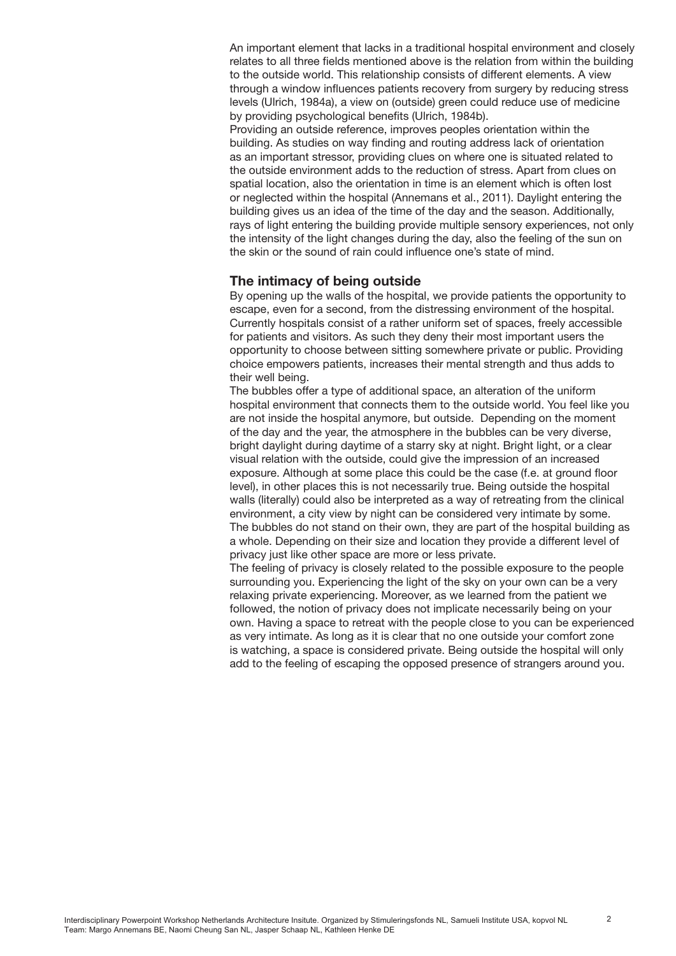An important element that lacks in a traditional hospital environment and closely relates to all three fields mentioned above is the relation from within the building to the outside world. This relationship consists of different elements. A view through a window influences patients recovery from surgery by reducing stress levels (Ulrich, 1984a), a view on (outside) green could reduce use of medicine by providing psychological benefits (Ulrich, 1984b).

Providing an outside reference, improves peoples orientation within the building. As studies on way finding and routing address lack of orientation as an important stressor, providing clues on where one is situated related to the outside environment adds to the reduction of stress. Apart from clues on spatial location, also the orientation in time is an element which is often lost or neglected within the hospital (Annemans et al., 2011). Daylight entering the building gives us an idea of the time of the day and the season. Additionally, rays of light entering the building provide multiple sensory experiences, not only the intensity of the light changes during the day, also the feeling of the sun on the skin or the sound of rain could influence one's state of mind.

#### **The intimacy of being outside**

By opening up the walls of the hospital, we provide patients the opportunity to escape, even for a second, from the distressing environment of the hospital. Currently hospitals consist of a rather uniform set of spaces, freely accessible for patients and visitors. As such they deny their most important users the opportunity to choose between sitting somewhere private or public. Providing choice empowers patients, increases their mental strength and thus adds to their well being.

The bubbles offer a type of additional space, an alteration of the uniform hospital environment that connects them to the outside world. You feel like you are not inside the hospital anymore, but outside. Depending on the moment of the day and the year, the atmosphere in the bubbles can be very diverse, bright daylight during daytime of a starry sky at night. Bright light, or a clear visual relation with the outside, could give the impression of an increased exposure. Although at some place this could be the case (f.e. at ground floor level), in other places this is not necessarily true. Being outside the hospital walls (literally) could also be interpreted as a way of retreating from the clinical environment, a city view by night can be considered very intimate by some. The bubbles do not stand on their own, they are part of the hospital building as a whole. Depending on their size and location they provide a different level of privacy just like other space are more or less private.

The feeling of privacy is closely related to the possible exposure to the people surrounding you. Experiencing the light of the sky on your own can be a very relaxing private experiencing. Moreover, as we learned from the patient we followed, the notion of privacy does not implicate necessarily being on your own. Having a space to retreat with the people close to you can be experienced as very intimate. As long as it is clear that no one outside your comfort zone is watching, a space is considered private. Being outside the hospital will only add to the feeling of escaping the opposed presence of strangers around you.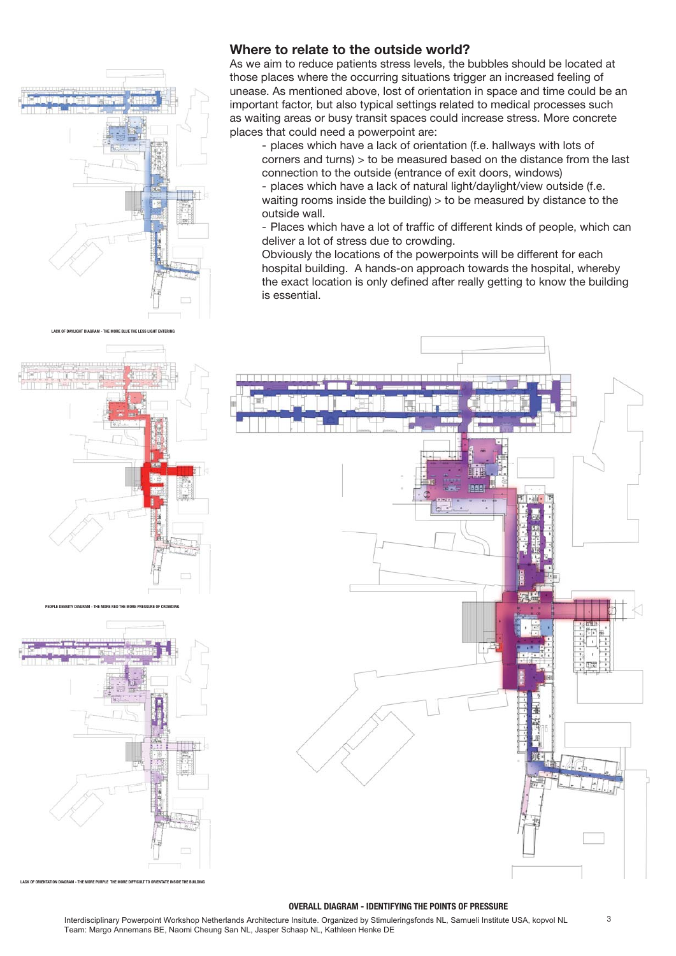

**LACK OF DAYLIGHT DIAGRAM - THE MORE BLUE THE LESS LIGHT ENTERING**

## **Where to relate to the outside world?**

As we aim to reduce patients stress levels, the bubbles should be located at those places where the occurring situations trigger an increased feeling of unease. As mentioned above, lost of orientation in space and time could be an important factor, but also typical settings related to medical processes such as waiting areas or busy transit spaces could increase stress. More concrete places that could need a powerpoint are:

- places which have a lack of orientation (f.e. hallways with lots of corners and turns) > to be measured based on the distance from the last connection to the outside (entrance of exit doors, windows)

- places which have a lack of natural light/daylight/view outside (f.e. waiting rooms inside the building) > to be measured by distance to the outside wall.

- Places which have a lot of traffic of different kinds of people, which can deliver a lot of stress due to crowding.

Obviously the locations of the powerpoints will be different for each hospital building. A hands-on approach towards the hospital, whereby the exact location is only defined after really getting to know the building is essential.





**LACK OF ORIENTATION DIAGRAM - THE MORE PURPLE THE MORE DIFFICULT TO ORIENTATE INSIDE THE BUILDING**

#### **OVERALL DIAGRAM - IDENTIFYING THE POINTS OF PRESSURE**

3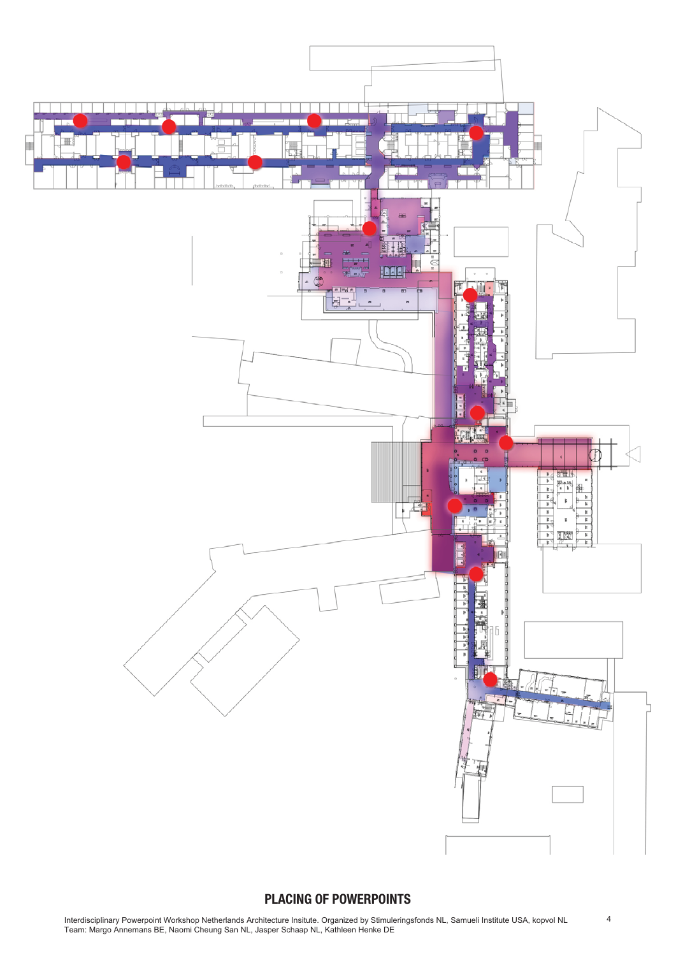

## **PLACING OF POWERPOINTS**

4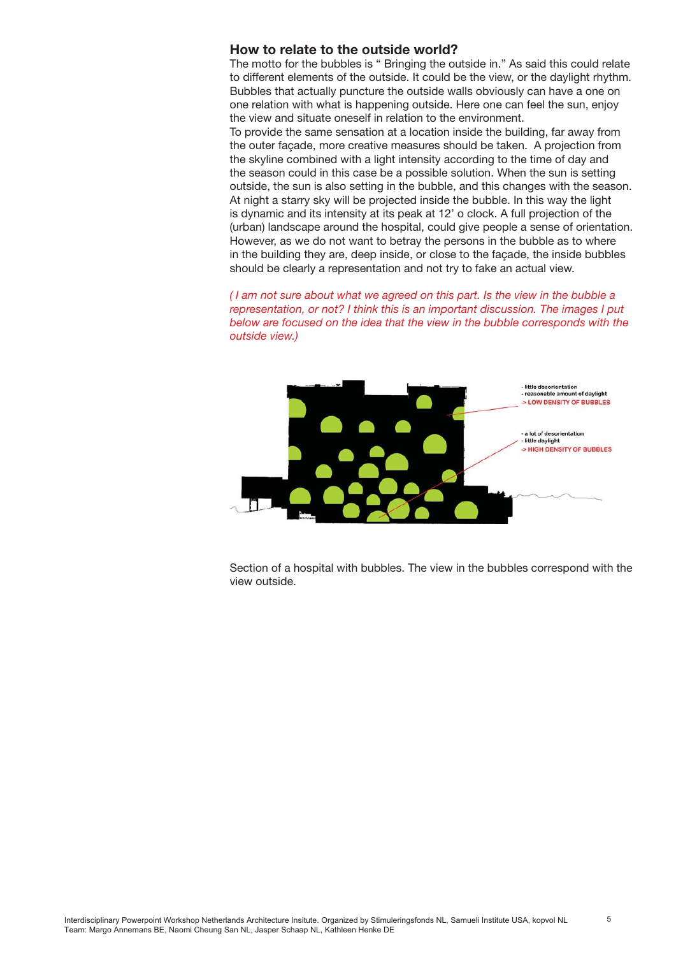#### **How to relate to the outside world?**

The motto for the bubbles is " Bringing the outside in." As said this could relate to different elements of the outside. It could be the view, or the daylight rhythm. Bubbles that actually puncture the outside walls obviously can have a one on one relation with what is happening outside. Here one can feel the sun, enjoy the view and situate oneself in relation to the environment.

To provide the same sensation at a location inside the building, far away from the outer façade, more creative measures should be taken. A projection from the skyline combined with a light intensity according to the time of day and the season could in this case be a possible solution. When the sun is setting outside, the sun is also setting in the bubble, and this changes with the season. At night a starry sky will be projected inside the bubble. In this way the light is dynamic and its intensity at its peak at 12' o clock. A full projection of the (urban) landscape around the hospital, could give people a sense of orientation. However, as we do not want to betray the persons in the bubble as to where in the building they are, deep inside, or close to the façade, the inside bubbles should be clearly a representation and not try to fake an actual view.

*( I am not sure about what we agreed on this part. Is the view in the bubble a representation, or not? I think this is an important discussion. The images I put below are focused on the idea that the view in the bubble corresponds with the outside view.)*



Section of a hospital with bubbles. The view in the bubbles correspond with the view outside.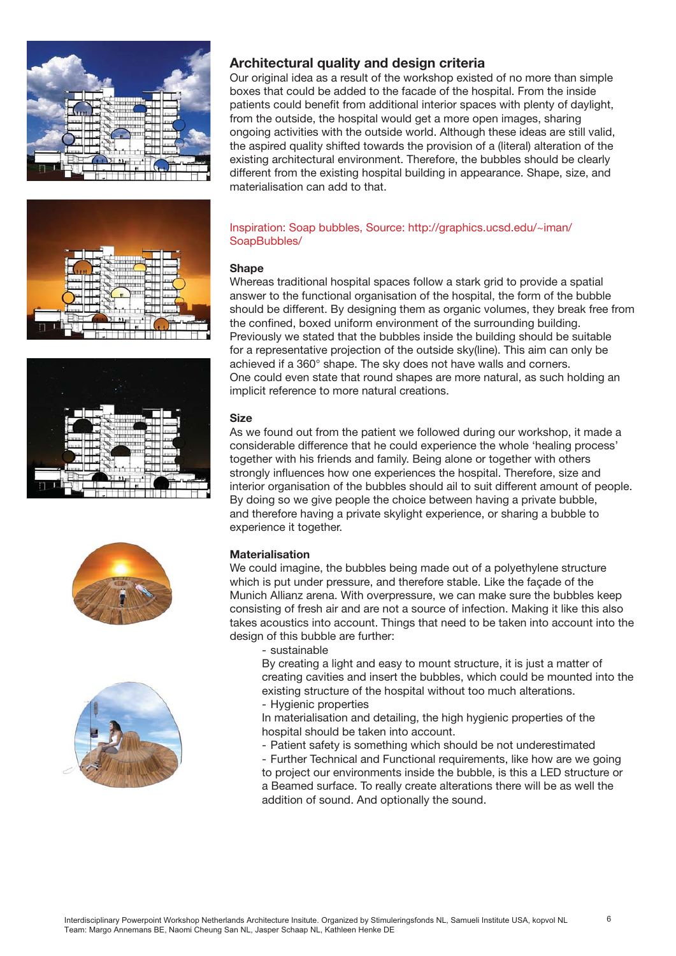









## **Architectural quality and design criteria**

Our original idea as a result of the workshop existed of no more than simple boxes that could be added to the facade of the hospital. From the inside patients could benefit from additional interior spaces with plenty of daylight, from the outside, the hospital would get a more open images, sharing ongoing activities with the outside world. Although these ideas are still valid, the aspired quality shifted towards the provision of a (literal) alteration of the existing architectural environment. Therefore, the bubbles should be clearly different from the existing hospital building in appearance. Shape, size, and materialisation can add to that.

#### Inspiration: Soap bubbles, Source: http://graphics.ucsd.edu/~iman/ SoapBubbles/

#### **Shape**

Whereas traditional hospital spaces follow a stark grid to provide a spatial answer to the functional organisation of the hospital, the form of the bubble should be different. By designing them as organic volumes, they break free from the confined, boxed uniform environment of the surrounding building. Previously we stated that the bubbles inside the building should be suitable for a representative projection of the outside sky(line). This aim can only be achieved if a 360° shape. The sky does not have walls and corners. One could even state that round shapes are more natural, as such holding an implicit reference to more natural creations.

#### **Size**

As we found out from the patient we followed during our workshop, it made a considerable difference that he could experience the whole 'healing process' together with his friends and family. Being alone or together with others strongly influences how one experiences the hospital. Therefore, size and interior organisation of the bubbles should ail to suit different amount of people. By doing so we give people the choice between having a private bubble, and therefore having a private skylight experience, or sharing a bubble to experience it together.

#### **Materialisation**

We could imagine, the bubbles being made out of a polyethylene structure which is put under pressure, and therefore stable. Like the façade of the Munich Allianz arena. With overpressure, we can make sure the bubbles keep consisting of fresh air and are not a source of infection. Making it like this also takes acoustics into account. Things that need to be taken into account into the design of this bubble are further:

#### - sustainable

By creating a light and easy to mount structure, it is just a matter of creating cavities and insert the bubbles, which could be mounted into the existing structure of the hospital without too much alterations.

- Hygienic properties

In materialisation and detailing, the high hygienic properties of the hospital should be taken into account.

- Patient safety is something which should be not underestimated

- Further Technical and Functional requirements, like how are we going to project our environments inside the bubble, is this a LED structure or a Beamed surface. To really create alterations there will be as well the addition of sound. And optionally the sound.

6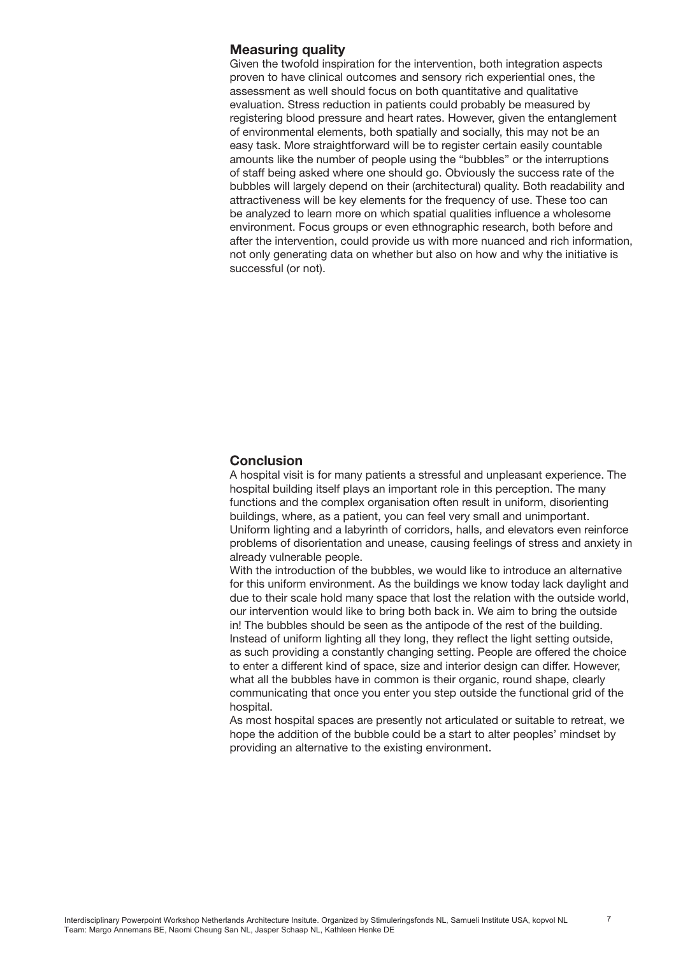#### **Measuring quality**

Given the twofold inspiration for the intervention, both integration aspects proven to have clinical outcomes and sensory rich experiential ones, the assessment as well should focus on both quantitative and qualitative evaluation. Stress reduction in patients could probably be measured by registering blood pressure and heart rates. However, given the entanglement of environmental elements, both spatially and socially, this may not be an easy task. More straightforward will be to register certain easily countable amounts like the number of people using the "bubbles" or the interruptions of staff being asked where one should go. Obviously the success rate of the bubbles will largely depend on their (architectural) quality. Both readability and attractiveness will be key elements for the frequency of use. These too can be analyzed to learn more on which spatial qualities influence a wholesome environment. Focus groups or even ethnographic research, both before and after the intervention, could provide us with more nuanced and rich information, not only generating data on whether but also on how and why the initiative is successful (or not).

#### **Conclusion**

A hospital visit is for many patients a stressful and unpleasant experience. The hospital building itself plays an important role in this perception. The many functions and the complex organisation often result in uniform, disorienting buildings, where, as a patient, you can feel very small and unimportant. Uniform lighting and a labyrinth of corridors, halls, and elevators even reinforce problems of disorientation and unease, causing feelings of stress and anxiety in already vulnerable people.

With the introduction of the bubbles, we would like to introduce an alternative for this uniform environment. As the buildings we know today lack daylight and due to their scale hold many space that lost the relation with the outside world, our intervention would like to bring both back in. We aim to bring the outside in! The bubbles should be seen as the antipode of the rest of the building. Instead of uniform lighting all they long, they reflect the light setting outside, as such providing a constantly changing setting. People are offered the choice to enter a different kind of space, size and interior design can differ. However, what all the bubbles have in common is their organic, round shape, clearly communicating that once you enter you step outside the functional grid of the hospital.

As most hospital spaces are presently not articulated or suitable to retreat, we hope the addition of the bubble could be a start to alter peoples' mindset by providing an alternative to the existing environment.